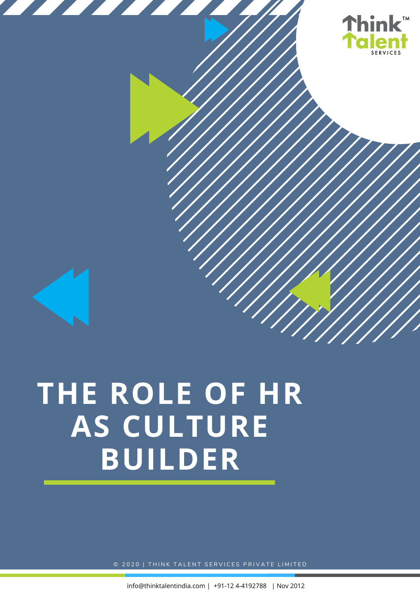

# **THE ROLE OF HR AS CULTURE BUILDER**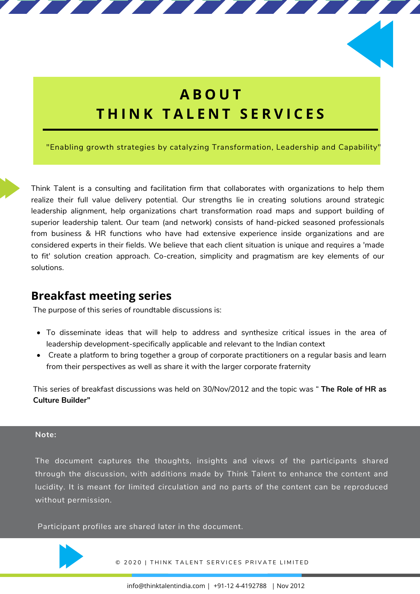## **A B O U T T H I N K T A L E N T S E R V I C E S**

"Enabling growth strategies by catalyzing Transformation, Leadership and Capability"

Think Talent is a consulting and facilitation firm that collaborates with organizations to help them realize their full value delivery potential. Our strengths lie in creating solutions around strategic leadership alignment, help organizations chart transformation road maps and support building of superior leadership talent. Our team (and network) consists of hand-picked seasoned professionals from business & HR functions who have had extensive experience inside organizations and are considered experts in their fields. We believe that each client situation is unique and requires a 'made to fit' solution creation approach. Co-creation, simplicity and pragmatism are key elements of our solutions.

## **Breakfast meeting series**

The purpose of this series of roundtable discussions is:

- To disseminate ideas that will help to address and synthesize critical issues in the area of leadership development-specifically applicable and relevant to the Indian context
- Create a platform to bring together a group of corporate practitioners on a regular basis and learn from their perspectives as well as share it with the larger corporate fraternity

This series of breakfast discussions was held on 30/Nov/2012 and the topic was " **The Role of HR as Culture Builder"**

## **Note:**

The document captures the thoughts, insights and views of the participants shared through the discussion, with additions made by Think Talent to enhance the content and lucidity. It is meant for limited circulation and no parts of the content can be reproduced without permission.

Participant profiles are shared later in the document.

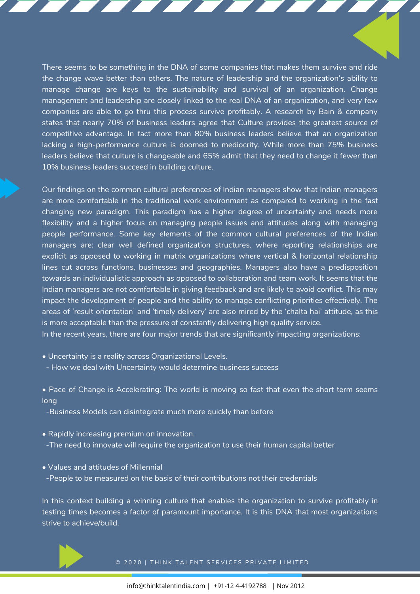There seems to be something in the DNA of some companies that makes them survive and ride the change wave better than others. The nature of leadership and the organization's ability to manage change are keys to the sustainability and survival of an organization. Change management and leadership are closely linked to the real DNA of an organization, and very few companies are able to go thru this process survive profitably. A research by Bain & company states that nearly 70% of business leaders agree that Culture provides the greatest source of competitive advantage. In fact more than 80% business leaders believe that an organization lacking a high-performance culture is doomed to mediocrity. While more than 75% business leaders believe that culture is changeable and 65% admit that they need to change it fewer than 10% business leaders succeed in building culture.

Our findings on the common cultural preferences of Indian managers show that Indian managers are more comfortable in the traditional work environment as compared to working in the fast changing new paradigm. This paradigm has a higher degree of uncertainty and needs more flexibility and a higher focus on managing people issues and attitudes along with managing people performance. Some key elements of the common cultural preferences of the Indian managers are: clear well defined organization structures, where reporting relationships are explicit as opposed to working in matrix organizations where vertical & horizontal relationship lines cut across functions, businesses and geographies. Managers also have a predisposition towards an individualistic approach as opposed to collaboration and team work. It seems that the Indian managers are not comfortable in giving feedback and are likely to avoid conflict. This may impact the development of people and the ability to manage conflicting priorities effectively. The areas of 'result orientation' and 'timely delivery' are also mired by the 'chalta hai' attitude, as this is more acceptable than the pressure of constantly delivering high quality service.

In the recent years, there are four major trends that are significantly impacting organizations:

- Uncertainty is a reality across Organizational Levels.
- How we deal with Uncertainty would determine business success
- Pace of Change is Accelerating: The world is moving so fast that even the short term seems long
- -Business Models can disintegrate much more quickly than before
- Rapidly increasing premium on innovation. -The need to innovate will require the organization to use their human capital better
- Values and attitudes of Millennial -People to be measured on the basis of their contributions not their credentials

In this context building a winning culture that enables the organization to survive profitably in testing times becomes a factor of paramount importance. It is this DNA that most organizations strive to achieve/build.

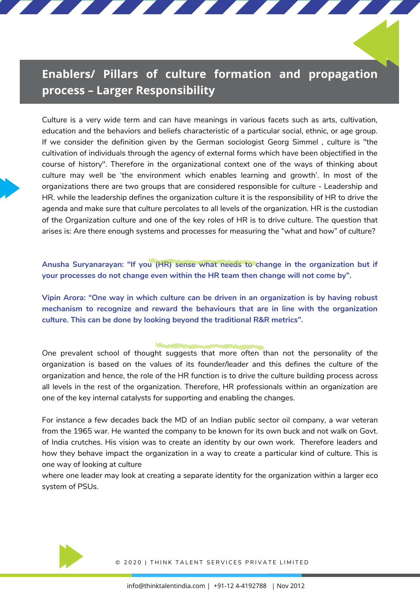## **Enablers/ Pillars of culture formation and propagation process – Larger Responsibility**

Culture is a very wide term and can have meanings in various facets such as arts, cultivation, education and the behaviors and beliefs characteristic of a particular social, ethnic, or age group. If we consider the definition given by the German sociologist Georg Simmel , culture is "the cultivation of individuals through the agency of external forms which have been objectified in the course of history". Therefore in the organizational context one of the ways of thinking about culture may well be 'the environment which enables learning and growth'. In most of the organizations there are two groups that are considered responsible for culture - Leadership and HR. while the leadership defines the organization culture it is the responsibility of HR to drive the agenda and make sure that culture percolates to all levels of the organization. HR is the custodian of the Organization culture and one of the key roles of HR is to drive culture. The question that arises is: Are there enough systems and processes for measuring the "what and how" of culture?

**Anusha Suryanarayan: "If you (HR) sense what needs to change in the organization but if your processes do not change even within the HR team then change will not come by".**

**Vipin Arora: "One way in which culture can be driven in an organization is by having robust mechanism to recognize and reward the behaviours that are in line with the organization culture. This can be done by looking beyond the traditional R&R metrics".**

One prevalent school of thought suggests that more often than not the personality of the organization is based on the values of its founder/leader and this defines the culture of the organization and hence, the role of the HR function is to drive the culture building process across all levels in the rest of the organization. Therefore, HR professionals within an organization are one of the key internal catalysts for supporting and enabling the changes.

For instance a few decades back the MD of an Indian public sector oil company, a war veteran from the 1965 war. He wanted the company to be known for its own buck and not walk on Govt. of India crutches. His vision was to create an identity by our own work. Therefore leaders and how they behave impact the organization in a way to create a particular kind of culture. This is one way of looking at culture

where one leader may look at creating a separate identity for the organization within a larger eco system of PSUs.

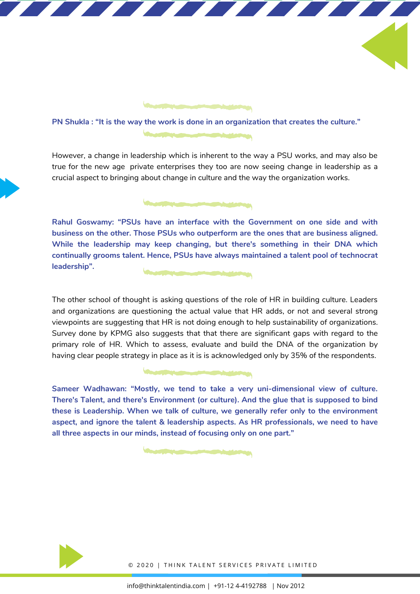

However, a change in leadership which is inherent to the way a PSU works, and may also be true for the new age private enterprises they too are now seeing change in leadership as a crucial aspect to bringing about change in culture and the way the organization works.

**Rahul Goswamy: "PSUs have an interface with the Government on one side and with business on the other. Those PSUs who outperform are the ones that are business aligned. While the leadership may keep changing, but there's something in their DNA which continually grooms talent. Hence, PSUs have always maintained a talent pool of technocrat leadership".**

The other school of thought is asking questions of the role of HR in building culture. Leaders and organizations are questioning the actual value that HR adds, or not and several strong viewpoints are suggesting that HR is not doing enough to help sustainability of organizations. Survey done by KPMG also suggests that that there are significant gaps with regard to the primary role of HR. Which to assess, evaluate and build the DNA of the organization by having clear people strategy in place as it is is acknowledged only by 35% of the respondents.

**Sameer Wadhawan: "Mostly, we tend to take a very uni-dimensional view of culture. There's Talent, and there's Environment (or culture). And the glue that is supposed to bind these is Leadership. When we talk of culture, we generally refer only to the environment aspect, and ignore the talent & leadership aspects. As HR professionals, we need to have all three aspects in our minds, instead of focusing only on one part."**

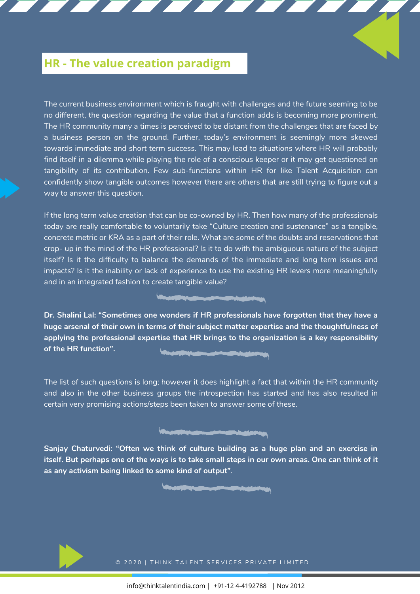## **HR - The value creation paradigm**

The current business environment which is fraught with challenges and the future seeming to be no different, the question regarding the value that a function adds is becoming more prominent. The HR community many a times is perceived to be distant from the challenges that are faced by a business person on the ground. Further, today's environment is seemingly more skewed towards immediate and short term success. This may lead to situations where HR will probably find itself in a dilemma while playing the role of a conscious keeper or it may get questioned on tangibility of its contribution. Few sub-functions within HR for like Talent Acquisition can confidently show tangible outcomes however there are others that are still trying to figure out a way to answer this question.

If the long term value creation that can be co-owned by HR. Then how many of the professionals today are really comfortable to voluntarily take "Culture creation and sustenance" as a tangible, concrete metric or KRA as a part of their role. What are some of the doubts and reservations that crop- up in the mind of the HR professional? Is it to do with the ambiguous nature of the subject itself? Is it the difficulty to balance the demands of the immediate and long term issues and impacts? Is it the inability or lack of experience to use the existing HR levers more meaningfully and in an integrated fashion to create tangible value?

**Dr. Shalini Lal: "Sometimes one wonders if HR professionals have forgotten that they have a huge arsenal of their own in terms of their subject matter expertise and the thoughtfulness of applying the professional expertise that HR brings to the organization is a key responsibility of the HR function".**

The list of such questions is long; however it does highlight a fact that within the HR community and also in the other business groups the introspection has started and has also resulted in certain very promising actions/steps been taken to answer some of these.

**Sanjay Chaturvedi: "Often we think of culture building as a huge plan and an exercise in** itself. But perhaps one of the ways is to take small steps in our own areas. One can think of it **as any activism being linked to some kind of output"**.

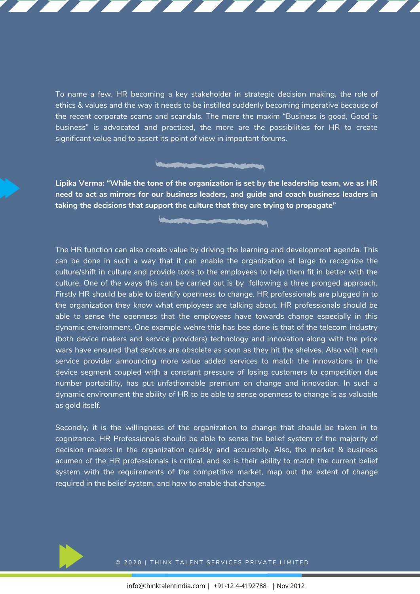To name a few, HR becoming a key stakeholder in strategic decision making, the role of ethics & values and the way it needs to be instilled suddenly becoming imperative because of the recent corporate scams and scandals. The more the maxim "Business is good, Good is business" is advocated and practiced, the more are the possibilities for HR to create significant value and to assert its point of view in important forums.

**Lipika Verma: "While the tone of the organization is set by the leadership team, we as HR need to act as mirrors for our business leaders, and guide and coach business leaders in taking the decisions that support the culture that they are trying to propagate"**

The HR function can also create value by driving the learning and development agenda. This can be done in such a way that it can enable the organization at large to recognize the culture/shift in culture and provide tools to the employees to help them fit in better with the culture. One of the ways this can be carried out is by following a three pronged approach. Firstly HR should be able to identify openness to change. HR professionals are plugged in to the organization they know what employees are talking about. HR professionals should be able to sense the openness that the employees have towards change especially in this dynamic environment. One example wehre this has bee done is that of the telecom industry (both device makers and service providers) technology and innovation along with the price wars have ensured that devices are obsolete as soon as they hit the shelves. Also with each service provider announcing more value added services to match the innovations in the device segment coupled with a constant pressure of losing customers to competition due number portability, has put unfathomable premium on change and innovation. In such a dynamic environment the ability of HR to be able to sense openness to change is as valuable as gold itself.

Secondly, it is the willingness of the organization to change that should be taken in to cognizance. HR Professionals should be able to sense the belief system of the majority of decision makers in the organization quickly and accurately. Also, the market & business acumen of the HR professionals is critical, and so is their ability to match the current belief system with the requirements of the competitive market, map out the extent of change required in the belief system, and how to enable that change.

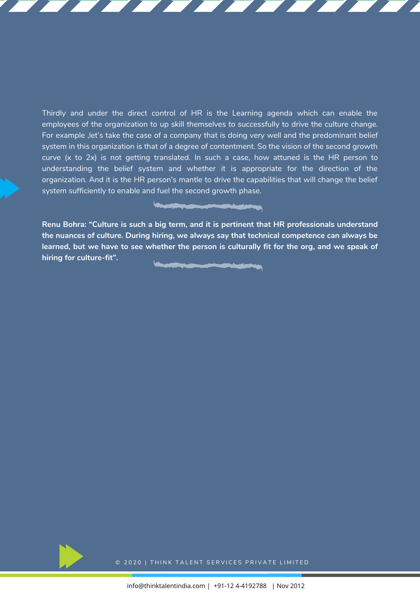Thirdly and under the direct control of HR is the Learning agenda which can enable the employees of the organization to up skill themselves to successfully to drive the culture change. For example ,let's take the case of a company that is doing very well and the predominant belief system in this organization is that of a degree of contentment. So the vision of the second growth curve (x to 2x) is not getting translated. In such a case, how attuned is the HR person to understanding the belief system and whether it is appropriate for the direction of the organization. And it is the HR person's mantle to drive the capabilities that will change the belief system sufficiently to enable and fuel the second growth phase.

**Renu Bohra: "Culture is such a big term, and it is pertinent that HR professionals understand the nuances of culture. During hiring, we always say that technical competence can always be** learned, but we have to see whether the person is culturally fit for the org, and we speak of **hiring for culture-fit".**

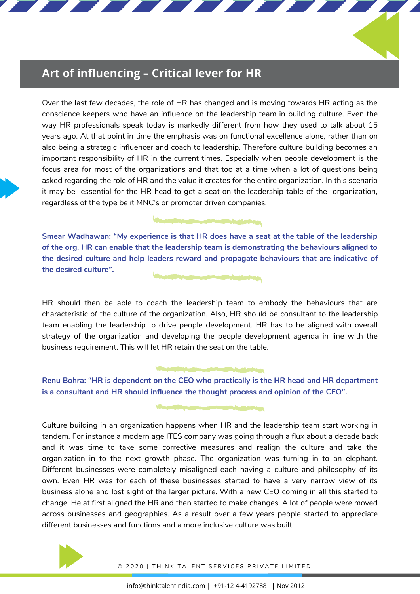## **Art of influencing – Critical lever for HR**

Over the last few decades, the role of HR has changed and is moving towards HR acting as the conscience keepers who have an influence on the leadership team in building culture. Even the way HR professionals speak today is markedly different from how they used to talk about 15 years ago. At that point in time the emphasis was on functional excellence alone, rather than on also being a strategic influencer and coach to leadership. Therefore culture building becomes an important responsibility of HR in the current times. Especially when people development is the focus area for most of the organizations and that too at a time when a lot of questions being asked regarding the role of HR and the value it creates for the entire organization. In this scenario it may be essential for the HR head to get a seat on the leadership table of the organization, regardless of the type be it MNC's or promoter driven companies.

**Smear Wadhawan: "My experience is that HR does have a seat at the table of the leadership of the org. HR can enable that the leadership team is demonstrating the behaviours aligned to the desired culture and help leaders reward and propagate behaviours that are indicative of the desired culture".**

HR should then be able to coach the leadership team to embody the behaviours that are characteristic of the culture of the organization. Also, HR should be consultant to the leadership team enabling the leadership to drive people development. HR has to be aligned with overall strategy of the organization and developing the people development agenda in line with the business requirement. This will let HR retain the seat on the table.

**Renu Bohra: "HR is dependent on the CEO who practically is the HR head and HR department is a consultant and HR should influence the thought process and opinion of the CEO".**

Culture building in an organization happens when HR and the leadership team start working in tandem. For instance a modern age ITES company was going through a flux about a decade back and it was time to take some corrective measures and realign the culture and take the organization in to the next growth phase. The organization was turning in to an elephant. Different businesses were completely misaligned each having a culture and philosophy of its own. Even HR was for each of these businesses started to have a very narrow view of its business alone and lost sight of the larger picture. With a new CEO coming in all this started to change. He at first aligned the HR and then started to make changes. A lot of people were moved across businesses and geographies. As a result over a few years people started to appreciate different businesses and functions and a more inclusive culture was built.

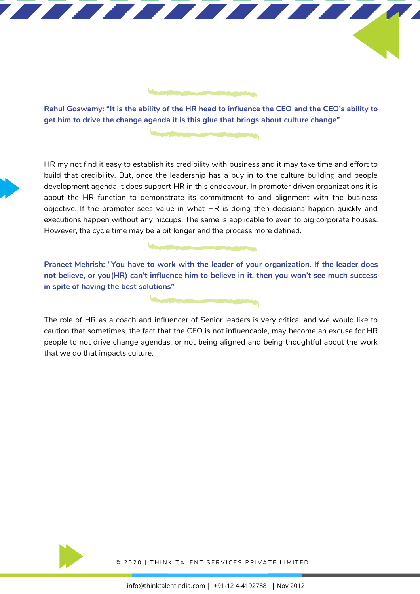

Rahul Goswamy: "It is the ability of the HR head to influence the CEO and the CEO's ability to **get him to drive the change agenda it is this glue that brings about culture change"**

HR my not find it easy to establish its credibility with business and it may take time and effort to build that credibility. But, once the leadership has a buy in to the culture building and people development agenda it does support HR in this endeavour. In promoter driven organizations it is about the HR function to demonstrate its commitment to and alignment with the business objective. If the promoter sees value in what HR is doing then decisions happen quickly and executions happen without any hiccups. The same is applicable to even to big corporate houses. However, the cycle time may be a bit longer and the process more defined.

**Praneet Mehrish: "You have to work with the leader of your organization. If the leader does not believe, or you(HR) can't influence him to believe in it, then you won't see much success in spite of having the best solutions"**

The role of HR as a coach and influencer of Senior leaders is very critical and we would like to caution that sometimes, the fact that the CEO is not influencable, may become an excuse for HR people to not drive change agendas, or not being aligned and being thoughtful about the work that we do that impacts culture.

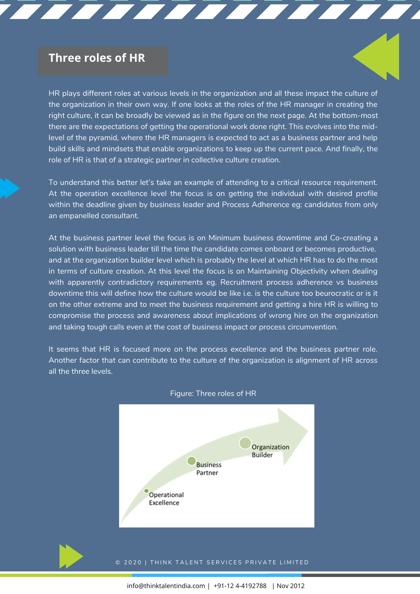## **Three roles of HR**

HR plays different roles at various levels in the organization and all these impact the culture of the organization in their own way. If one looks at the roles of the HR manager in creating the right culture, it can be broadly be viewed as in the figure on the next page. At the bottom-most there are the expectations of getting the operational work done right. This evolves into the midlevel of the pyramid, where the HR managers is expected to act as a business partner and help build skills and mindsets that enable organizations to keep up the current pace. And finally, the role of HR is that of a strategic partner in collective culture creation.

E E E E E E E E E E E

To understand this better let's take an example of attending to a critical resource requirement. At the operation excellence level the focus is on getting the individual with desired profile within the deadline given by business leader and Process Adherence eg: candidates from only an empanelled consultant.

At the business partner level the focus is on Minimum business downtime and Co-creating a solution with business leader till the time the candidate comes onboard or becomes productive. and at the organization builder level which is probably the level at which HR has to do the most in terms of culture creation. At this level the focus is on Maintaining Objectivity when dealing with apparently contradictory requirements eg. Recruitment process adherence vs business downtime this will define how the culture would be like i.e. is the culture too beurocratic or is it on the other extreme and to meet the business requirement and getting a hire HR is willing to compromise the process and awareness about implications of wrong hire on the organization and taking tough calls even at the cost of business impact or process circumvention.

It seems that HR is focused more on the process excellence and the business partner role. Another factor that can contribute to the culture of the organization is alignment of HR across all the three levels.



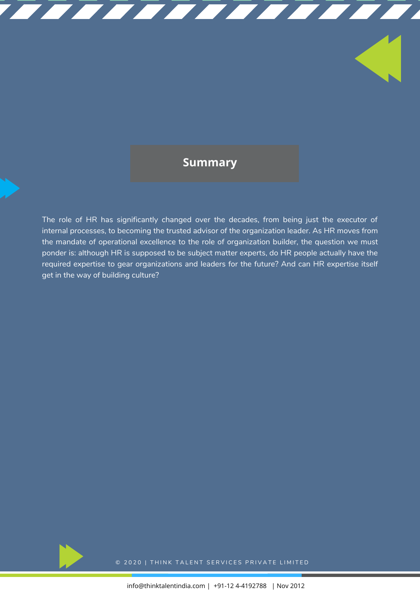## **Summary**

TTTTTTTTTTTTTT

The role of HR has significantly changed over the decades, from being just the executor of internal processes, to becoming the trusted advisor of the organization leader. As HR moves from the mandate of operational excellence to the role of organization builder, the question we must ponder is: although HR is supposed to be subject matter experts, do HR people actually have the required expertise to gear organizations and leaders for the future? And can HR expertise itself get in the way of building culture?

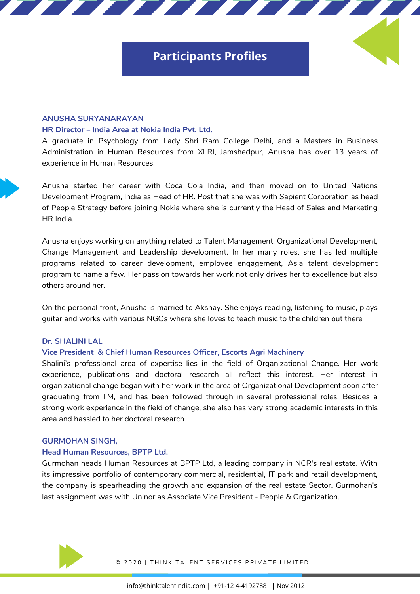## **Participants Profiles**

## **ANUSHA SURYANARAYAN**

## **HR Director – India Area at Nokia India Pvt. Ltd.**

A graduate in Psychology from Lady Shri Ram College Delhi, and a Masters in Business Administration in Human Resources from XLRI, Jamshedpur, Anusha has over 13 years of experience in Human Resources.

Anusha started her career with Coca Cola India, and then moved on to United Nations of People Strategy before joining Nokia where she is currently the Head of Sales and Marketing becoming the trusted advisor of the organization leader. As HR moves from the mandate of operational  $\epsilon$  and  $\epsilon$ , the role of organization builder, the question we must point point point point  $\epsilon$ Development Program, India as Head of HR. Post that she was with Sapient Corporation as head HR India.

Anusha enjoys working on anything related to Talent Management, Organizational Development, Change Management and Leadership development. In her many roles, she has led multiple programs related to career development, employee engagement, Asia talent development program to name a few. Her passion towards her work not only drives her to excellence but also others around her.

On the personal front, Anusha is married to Akshay. She enjoys reading, listening to music, plays guitar and works with various NGOs where she loves to teach music to the children out there

### **Dr. SHALINI LAL**

## **Vice President & Chief Human Resources Officer, Escorts Agri Machinery**

Shalini's professional area of expertise lies in the field of Organizational Change. Her work experience, publications and doctoral research all reflect this interest. Her interest in organizational change began with her work in the area of Organizational Development soon after graduating from IIM, and has been followed through in several professional roles. Besides a strong work experience in the field of change, she also has very strong academic interests in this area and hassled to her doctoral research.

### **GURMOHAN SINGH,**

## **Head Human Resources, BPTP Ltd.**

Gurmohan heads Human Resources at BPTP Ltd, a leading company in NCR's real estate. With its impressive portfolio of contemporary commercial, residential, IT park and retail development, the company is spearheading the growth and expansion of the real estate Sector. Gurmohan's last assignment was with Uninor as Associate Vice President - People & Organization.

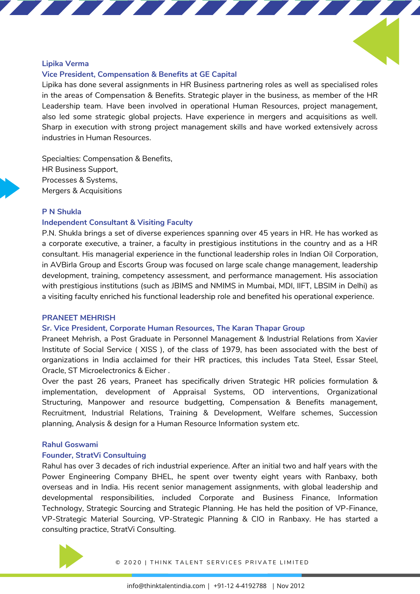## **Lipika Verma**

## **Vice President, Compensation & Benefits at GE Capital**

Lipika has done several assignments in HR Business partnering roles as well as specialised roles in the areas of Compensation & Benefits. Strategic player in the business, as member of the HR Leadership team. Have been involved in operational Human Resources, project management, also led some strategic global projects. Have experience in mergers and acquisitions as well. Sharp in execution with strong project management skills and have worked extensively across industries in Human Resources.

Specialties: Compensation & Benefits, HR Business Support, Processes & Systems, Mergers & Acquisitions

### becoming the trusted advisor of the organization leader. As HR moves from the mandate of operation of operation **P N Shukla**

## excellence to the role of organization builder, the question we must ponder is: although HR is supposed to be **Independent Consultant & Visiting Faculty**

P.N. Shukla brings a set of diverse experiences spanning over 45 years in HR. He has worked as a corporate executive, a trainer, a faculty in prestigious institutions in the country and as a HR consultant. His managerial experience in the functional leadership roles in Indian Oil Corporation, in AVBirla Group and Escorts Group was focused on large scale change management, leadership development, training, competency assessment, and performance management. His association with prestigious institutions (such as JBIMS and NMIMS in Mumbai, MDI, IIFT, LBSIM in Delhi) as a visiting faculty enriched his functional leadership role and benefited his operational experience.

### **PRANEET MEHRISH**

### **Sr. Vice President, Corporate Human Resources, The Karan Thapar Group**

Praneet Mehrish, a Post Graduate in Personnel Management & Industrial Relations from Xavier Institute of Social Service ( XISS ), of the class of 1979, has been associated with the best of organizations in India acclaimed for their HR practices, this includes Tata Steel, Essar Steel, Oracle, ST Microelectronics & Eicher .

Over the past 26 years, Praneet has specifically driven Strategic HR policies formulation & implementation, development of Appraisal Systems, OD interventions, Organizational Structuring, Manpower and resource budgetting, Compensation & Benefits management, Recruitment, Industrial Relations, Training & Development, Welfare schemes, Succession planning, Analysis & design for a Human Resource Information system etc.

## **Rahul Goswami**

### **Founder, StratVi Consultuing**

Rahul has over 3 decades of rich industrial experience. After an initial two and half years with the Power Engineering Company BHEL, he spent over twenty eight years with Ranbaxy, both overseas and in India. His recent senior management assignments, with global leadership and developmental responsibilities, included Corporate and Business Finance, Information Technology, Strategic Sourcing and Strategic Planning. He has held the position of VP-Finance, VP-Strategic Material Sourcing, VP-Strategic Planning & CIO in Ranbaxy. He has started a consulting practice, StratVi Consulting.

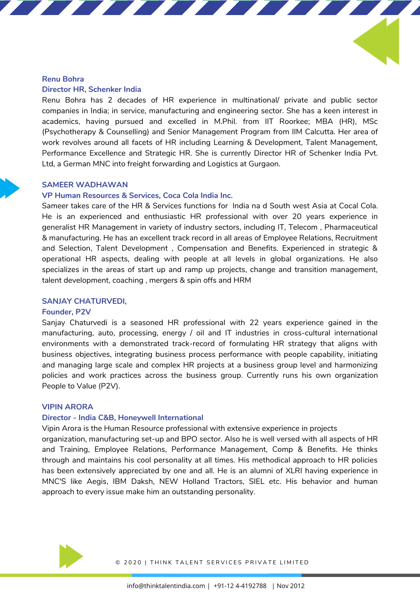## **Renu Bohra Director HR, Schenker India**

Renu Bohra has 2 decades of HR experience in multinational/ private and public sector companies in India; in service, manufacturing and engineering sector. She has a keen interest in academics, having pursued and excelled in M.Phil. from IIT Roorkee; MBA (HR), MSc (Psychotherapy & Counselling) and Senior Management Program from IIM Calcutta. Her area of work revolves around all facets of HR including Learning & Development, Talent Management, Performance Excellence and Strategic HR. She is currently Director HR of Schenker India Pvt. Ltd, a German MNC into freight forwarding and Logistics at Gurgaon.

## **SAMEER WADHAWAN**

## **VP Human Resources & Services, Coca Cola India Inc.**

Sameer takes care of the HR & Services functions for India na d South west Asia at Cocal Cola. He is an experienced and enthusiastic HR professional with over 20 years experience in excellence to the role of organization builder, the question we must point point point  $\mathbb{R}$ generalist HR Management in variety of industry sectors, including IT, Telecom , Pharmaceutical & manufacturing. He has an excellent track record in all areas of Employee Relations, Recruitment and Selection, Talent Development , Compensation and Benefits. Experienced in strategic & operational HR aspects, dealing with people at all levels in global organizations. He also specializes in the areas of start up and ramp up projects, change and transition management, talent development, coaching , mergers & spin offs and HRM

## **SANJAY CHATURVEDI,**

## **Founder, P2V**

Sanjay Chaturvedi is a seasoned HR professional with 22 years experience gained in the manufacturing, auto, processing, energy / oil and IT industries in cross-cultural international environments with a demonstrated track-record of formulating HR strategy that aligns with business objectives, integrating business process performance with people capability, initiating and managing large scale and complex HR projects at a business group level and harmonizing policies and work practices across the business group. Currently runs his own organization People to Value (P2V).

## **VIPIN ARORA**

## **Director - India C&B, Honeywell International**

Vipin Arora is the Human Resource professional with extensive experience in projects

organization, manufacturing set-up and BPO sector. Also he is well versed with all aspects of HR and Training, Employee Relations, Performance Management, Comp & Benefits. He thinks through and maintains his cool personality at all times. His methodical approach to HR policies has been extensively appreciated by one and all. He is an alumni of XLRI having experience in MNC'S like Aegis, IBM Daksh, NEW Holland Tractors, SIEL etc. His behavior and human approach to every issue make him an outstanding personality.

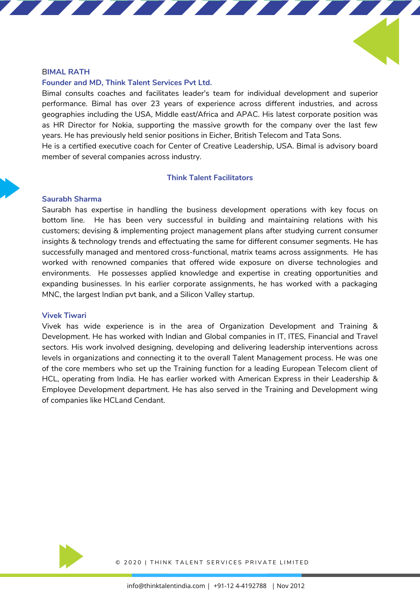### B**IMAL RATH**

## **Founder and MD, Think Talent Services Pvt Ltd.**

Bimal consults coaches and facilitates leader's team for individual development and superior performance. Bimal has over 23 years of experience across different industries, and across geographies including the USA, Middle east/Africa and APAC. His latest corporate position was as HR Director for Nokia, supporting the massive growth for the company over the last few years. He has previously held senior positions in Eicher, British Telecom and Tata Sons. He is a certified executive coach for Center of Creative Leadership, USA. Bimal is advisory board

member of several companies across industry.

## **Think Talent Facilitators**

## **Saurabh Sharma**

The role of HR has significantly changed over the decades, from being just the executor of internal processes, to Saurabh has expertise in handling the business development operations with key focus on bottom line. He has been very successful in building and maintaining relations with his customers; devising & implementing project management plans after studying current consumer insights & technology trends and effectuating the same for different consumer segments. He has successfully managed and mentored cross-functional, matrix teams across assignments. He has worked with renowned companies that offered wide exposure on diverse technologies and environments. He possesses applied knowledge and expertise in creating opportunities and expanding businesses. In his earlier corporate assignments, he has worked with a packaging MNC, the largest Indian pvt bank, and a Silicon Valley startup.

### **Vivek Tiwari**

Vivek has wide experience is in the area of Organization Development and Training & Development. He has worked with Indian and Global companies in IT, ITES, Financial and Travel sectors. His work involved designing, developing and delivering leadership interventions across levels in organizations and connecting it to the overall Talent Management process. He was one of the core members who set up the Training function for a leading European Telecom client of HCL, operating from India. He has earlier worked with American Express in their Leadership & Employee Development department. He has also served in the Training and Development wing of companies like HCLand Cendant.